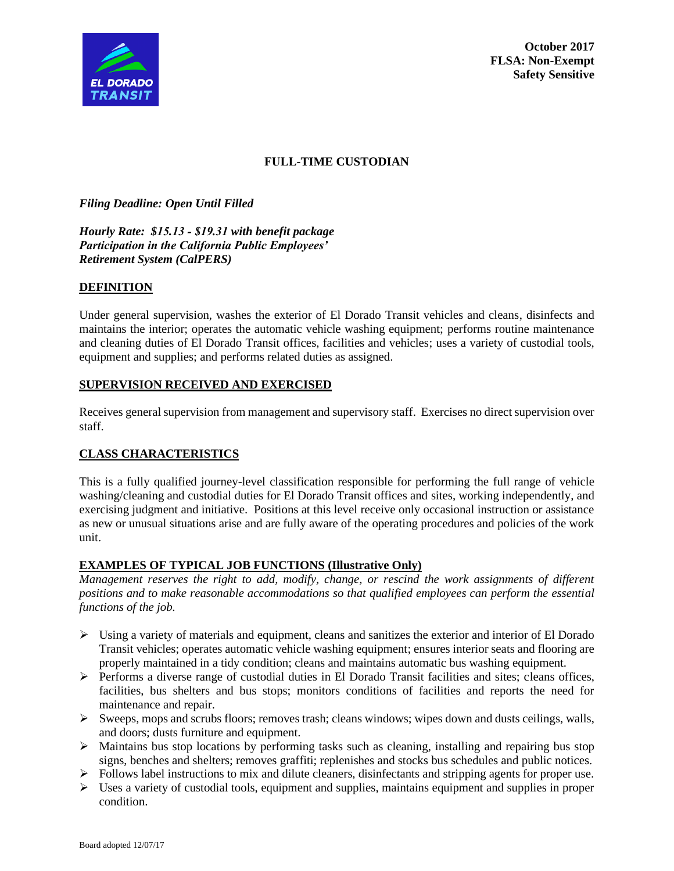

**October 2017 FLSA: Non-Exempt Safety Sensitive**

### **FULL-TIME CUSTODIAN**

*Filing Deadline: Open Until Filled*

*Hourly Rate: \$15.13 - \$19.31 with benefit package Participation in the California Public Employees' Retirement System (CalPERS)*

### **DEFINITION**

Under general supervision, washes the exterior of El Dorado Transit vehicles and cleans, disinfects and maintains the interior; operates the automatic vehicle washing equipment; performs routine maintenance and cleaning duties of El Dorado Transit offices, facilities and vehicles; uses a variety of custodial tools, equipment and supplies; and performs related duties as assigned.

### **SUPERVISION RECEIVED AND EXERCISED**

Receives general supervision from management and supervisory staff. Exercises no direct supervision over staff.

# **CLASS CHARACTERISTICS**

This is a fully qualified journey-level classification responsible for performing the full range of vehicle washing/cleaning and custodial duties for El Dorado Transit offices and sites, working independently, and exercising judgment and initiative. Positions at this level receive only occasional instruction or assistance as new or unusual situations arise and are fully aware of the operating procedures and policies of the work unit.

#### **EXAMPLES OF TYPICAL JOB FUNCTIONS (Illustrative Only)**

*Management reserves the right to add, modify, change, or rescind the work assignments of different positions and to make reasonable accommodations so that qualified employees can perform the essential functions of the job.*

- ➢ Using a variety of materials and equipment, cleans and sanitizes the exterior and interior of El Dorado Transit vehicles; operates automatic vehicle washing equipment; ensures interior seats and flooring are properly maintained in a tidy condition; cleans and maintains automatic bus washing equipment.
- $\triangleright$  Performs a diverse range of custodial duties in El Dorado Transit facilities and sites; cleans offices, facilities, bus shelters and bus stops; monitors conditions of facilities and reports the need for maintenance and repair.
- ➢ Sweeps, mops and scrubs floors; removes trash; cleans windows; wipes down and dusts ceilings, walls, and doors; dusts furniture and equipment.
- $\triangleright$  Maintains bus stop locations by performing tasks such as cleaning, installing and repairing bus stop signs, benches and shelters; removes graffiti; replenishes and stocks bus schedules and public notices.
- ➢ Follows label instructions to mix and dilute cleaners, disinfectants and stripping agents for proper use.
- $\triangleright$  Uses a variety of custodial tools, equipment and supplies, maintains equipment and supplies in proper condition.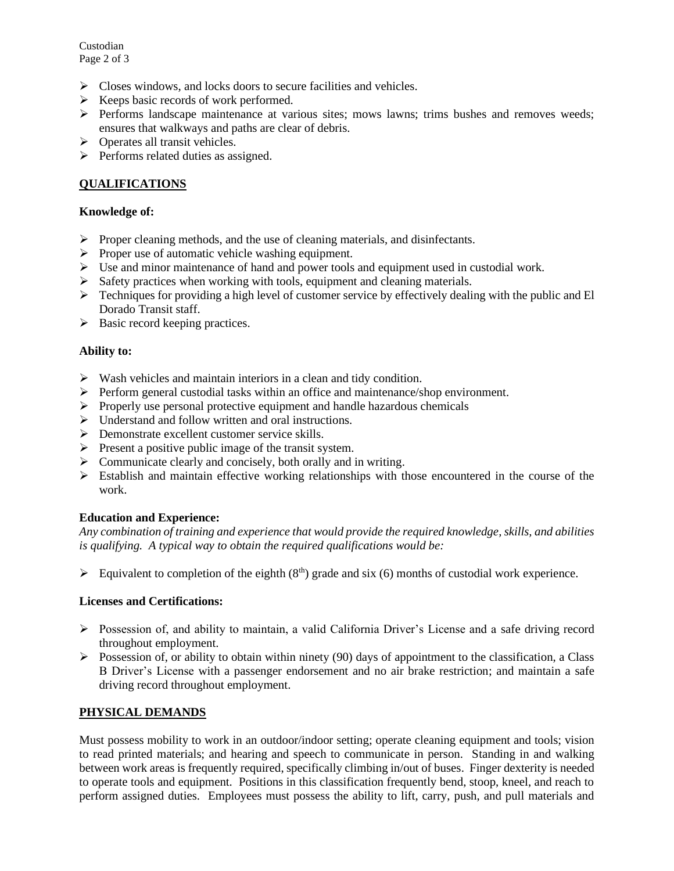Custodian Page 2 of 3

- ➢ Closes windows, and locks doors to secure facilities and vehicles.
- $\triangleright$  Keeps basic records of work performed.
- ➢ Performs landscape maintenance at various sites; mows lawns; trims bushes and removes weeds; ensures that walkways and paths are clear of debris.
- ➢ Operates all transit vehicles.
- ➢ Performs related duties as assigned.

# **QUALIFICATIONS**

#### **Knowledge of:**

- ➢ Proper cleaning methods, and the use of cleaning materials, and disinfectants.
- ➢ Proper use of automatic vehicle washing equipment.
- $\triangleright$  Use and minor maintenance of hand and power tools and equipment used in custodial work.
- ➢ Safety practices when working with tools, equipment and cleaning materials.
- $\triangleright$  Techniques for providing a high level of customer service by effectively dealing with the public and El Dorado Transit staff.
- ➢ Basic record keeping practices.

### **Ability to:**

- $\triangleright$  Wash vehicles and maintain interiors in a clean and tidy condition.
- ➢ Perform general custodial tasks within an office and maintenance/shop environment.
- $\triangleright$  Properly use personal protective equipment and handle hazardous chemicals
- ➢ Understand and follow written and oral instructions.
- ➢ Demonstrate excellent customer service skills.
- ➢ Present a positive public image of the transit system.
- $\triangleright$  Communicate clearly and concisely, both orally and in writing.
- $\triangleright$  Establish and maintain effective working relationships with those encountered in the course of the work.

# **Education and Experience:**

*Any combination of training and experience that would provide the required knowledge, skills, and abilities is qualifying. A typical way to obtain the required qualifications would be:*

 $\triangleright$  Equivalent to completion of the eighth (8<sup>th</sup>) grade and six (6) months of custodial work experience.

#### **Licenses and Certifications:**

- ➢ Possession of, and ability to maintain, a valid California Driver's License and a safe driving record throughout employment.
- $\triangleright$  Possession of, or ability to obtain within ninety (90) days of appointment to the classification, a Class B Driver's License with a passenger endorsement and no air brake restriction; and maintain a safe driving record throughout employment.

# **PHYSICAL DEMANDS**

Must possess mobility to work in an outdoor/indoor setting; operate cleaning equipment and tools; vision to read printed materials; and hearing and speech to communicate in person. Standing in and walking between work areas is frequently required, specifically climbing in/out of buses. Finger dexterity is needed to operate tools and equipment. Positions in this classification frequently bend, stoop, kneel, and reach to perform assigned duties. Employees must possess the ability to lift, carry, push, and pull materials and